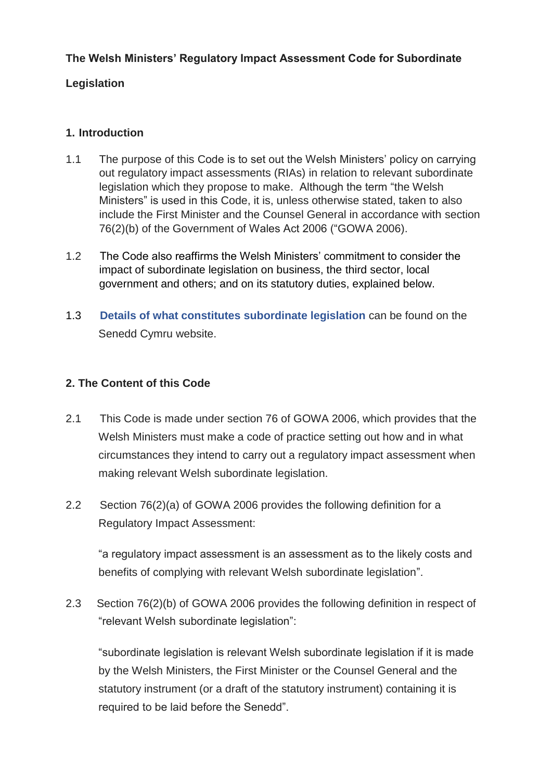### **The Welsh Ministers' Regulatory Impact Assessment Code for Subordinate**

### **Legislation**

### **1. Introduction**

- 1.1 The purpose of this Code is to set out the Welsh Ministers' policy on carrying out regulatory impact assessments (RIAs) in relation to relevant subordinate legislation which they propose to make. Although the term "the Welsh Ministers" is used in this Code, it is, unless otherwise stated, taken to also include the First Minister and the Counsel General in accordance with section 76(2)(b) of the Government of Wales Act 2006 ("GOWA 2006).
- 1.2 The Code also reaffirms the Welsh Ministers' commitment to consider the impact of subordinate legislation on business, the third sector, local government and others; and on its statutory duties, explained below.
- 1.3 **[Details of what constitutes subordinate legislation](http://www.assembly.wales/en/bus-home/bus-legislation/sub-leg/Pages/sub-leg.aspx)** can be found on the Senedd Cymru website.

### **2. The Content of this Code**

- 2.1 This Code is made under section 76 of GOWA 2006, which provides that the Welsh Ministers must make a code of practice setting out how and in what circumstances they intend to carry out a regulatory impact assessment when making relevant Welsh subordinate legislation.
- 2.2 Section 76(2)(a) of GOWA 2006 provides the following definition for a Regulatory Impact Assessment:

"a regulatory impact assessment is an assessment as to the likely costs and benefits of complying with relevant Welsh subordinate legislation".

2.3 Section 76(2)(b) of GOWA 2006 provides the following definition in respect of "relevant Welsh subordinate legislation":

"subordinate legislation is relevant Welsh subordinate legislation if it is made by the Welsh Ministers, the First Minister or the Counsel General and the statutory instrument (or a draft of the statutory instrument) containing it is required to be laid before the Senedd".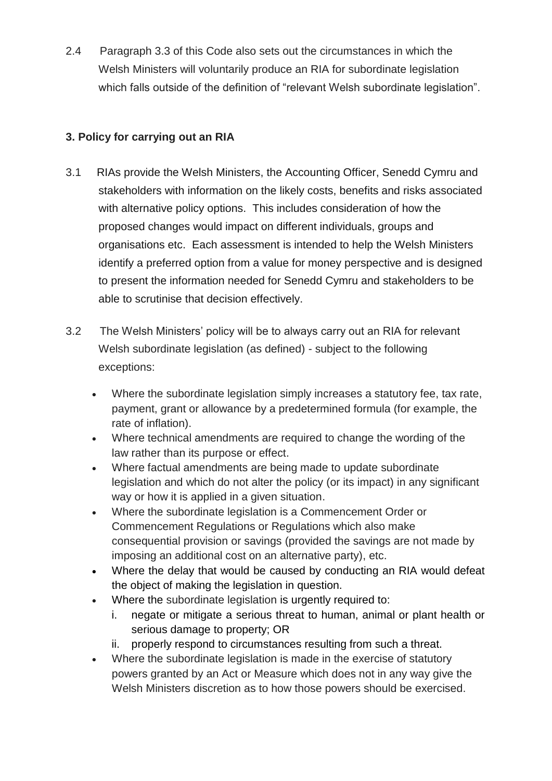2.4 Paragraph 3.3 of this Code also sets out the circumstances in which the Welsh Ministers will voluntarily produce an RIA for subordinate legislation which falls outside of the definition of "relevant Welsh subordinate legislation".

# **3. Policy for carrying out an RIA**

- 3.1 RIAs provide the Welsh Ministers, the Accounting Officer, Senedd Cymru and stakeholders with information on the likely costs, benefits and risks associated with alternative policy options. This includes consideration of how the proposed changes would impact on different individuals, groups and organisations etc. Each assessment is intended to help the Welsh Ministers identify a preferred option from a value for money perspective and is designed to present the information needed for Senedd Cymru and stakeholders to be able to scrutinise that decision effectively.
- 3.2 The Welsh Ministers' policy will be to always carry out an RIA for relevant Welsh subordinate legislation (as defined) - subject to the following exceptions:
	- Where the subordinate legislation simply increases a statutory fee, tax rate, payment, grant or allowance by a predetermined formula (for example, the rate of inflation).
	- Where technical amendments are required to change the wording of the law rather than its purpose or effect.
	- Where factual amendments are being made to update subordinate legislation and which do not alter the policy (or its impact) in any significant way or how it is applied in a given situation.
	- Where the subordinate legislation is a Commencement Order or Commencement Regulations or Regulations which also make consequential provision or savings (provided the savings are not made by imposing an additional cost on an alternative party), etc.
	- Where the delay that would be caused by conducting an RIA would defeat the object of making the legislation in question.
	- Where the subordinate legislation is urgently required to:
		- i. negate or mitigate a serious threat to human, animal or plant health or serious damage to property; OR
		- ii. properly respond to circumstances resulting from such a threat.
	- Where the subordinate legislation is made in the exercise of statutory powers granted by an Act or Measure which does not in any way give the Welsh Ministers discretion as to how those powers should be exercised.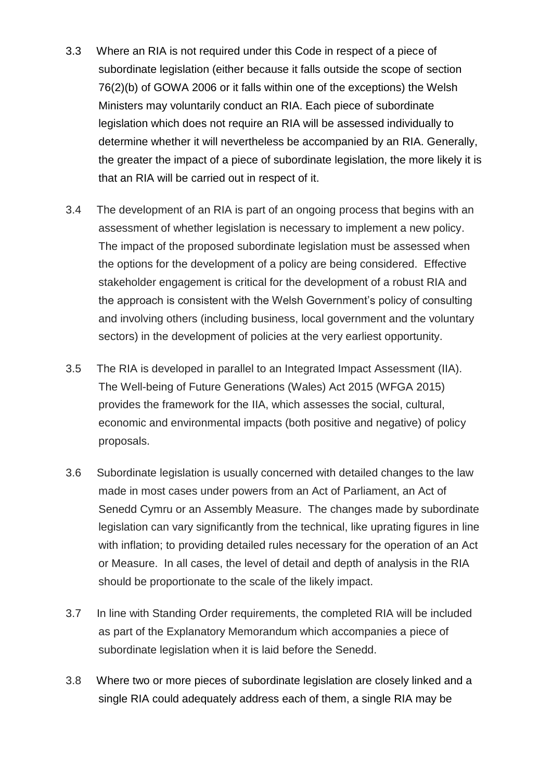- 3.3 Where an RIA is not required under this Code in respect of a piece of subordinate legislation (either because it falls outside the scope of section 76(2)(b) of GOWA 2006 or it falls within one of the exceptions) the Welsh Ministers may voluntarily conduct an RIA. Each piece of subordinate legislation which does not require an RIA will be assessed individually to determine whether it will nevertheless be accompanied by an RIA. Generally, the greater the impact of a piece of subordinate legislation, the more likely it is that an RIA will be carried out in respect of it.
- 3.4 The development of an RIA is part of an ongoing process that begins with an assessment of whether legislation is necessary to implement a new policy. The impact of the proposed subordinate legislation must be assessed when the options for the development of a policy are being considered. Effective stakeholder engagement is critical for the development of a robust RIA and the approach is consistent with the Welsh Government's policy of consulting and involving others (including business, local government and the voluntary sectors) in the development of policies at the very earliest opportunity.
- 3.5 The RIA is developed in parallel to an Integrated Impact Assessment (IIA). The Well-being of Future Generations (Wales) Act 2015 (WFGA 2015) provides the framework for the IIA, which assesses the social, cultural, economic and environmental impacts (both positive and negative) of policy proposals.
- 3.6 Subordinate legislation is usually concerned with detailed changes to the law made in most cases under powers from an Act of Parliament, an Act of Senedd Cymru or an Assembly Measure. The changes made by subordinate legislation can vary significantly from the technical, like uprating figures in line with inflation; to providing detailed rules necessary for the operation of an Act or Measure. In all cases, the level of detail and depth of analysis in the RIA should be proportionate to the scale of the likely impact.
- 3.7 In line with Standing Order requirements, the completed RIA will be included as part of the Explanatory Memorandum which accompanies a piece of subordinate legislation when it is laid before the Senedd.
- 3.8 Where two or more pieces of subordinate legislation are closely linked and a single RIA could adequately address each of them, a single RIA may be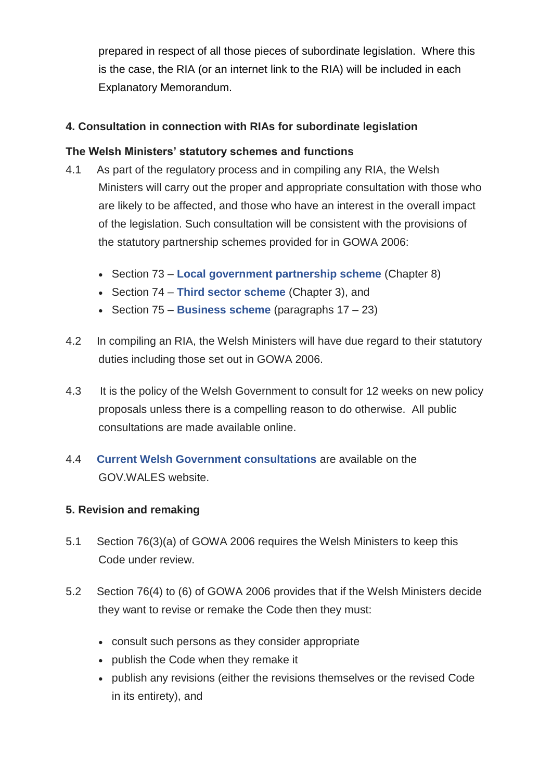prepared in respect of all those pieces of subordinate legislation. Where this is the case, the RIA (or an internet link to the RIA) will be included in each Explanatory Memorandum.

# **4. Consultation in connection with RIAs for subordinate legislation**

### **The Welsh Ministers' statutory schemes and functions**

- 4.1 As part of the regulatory process and in compiling any RIA, the Welsh Ministers will carry out the proper and appropriate consultation with those who are likely to be affected, and those who have an interest in the overall impact of the legislation. Such consultation will be consistent with the provisions of the statutory partnership schemes provided for in GOWA 2006:
	- Section 73 **[Local government partnership scheme](https://gov.wales/local-government-partnership-scheme)** (Chapter 8)
	- Section 74 **[Third sector scheme](https://gov.wales/third-sector-scheme)** (Chapter 3), and
	- Section 75 **[Business scheme](https://gov.wales/welsh-ministers-business-scheme)** (paragraphs 17 23)
- 4.2 In compiling an RIA, the Welsh Ministers will have due regard to their statutory duties including those set out in GOWA 2006.
- 4.3 It is the policy of the Welsh Government to consult for 12 weeks on new policy proposals unless there is a compelling reason to do otherwise. All public consultations are made available online.
- 4.4 **[Current Welsh Government consultations](https://gov.wales/consultations)** are available on the GOV.WALES website.

# **5. Revision and remaking**

- 5.1 Section 76(3)(a) of GOWA 2006 requires the Welsh Ministers to keep this Code under review.
- 5.2 Section 76(4) to (6) of GOWA 2006 provides that if the Welsh Ministers decide they want to revise or remake the Code then they must:
	- consult such persons as they consider appropriate
	- publish the Code when they remake it
	- publish any revisions (either the revisions themselves or the revised Code in its entirety), and